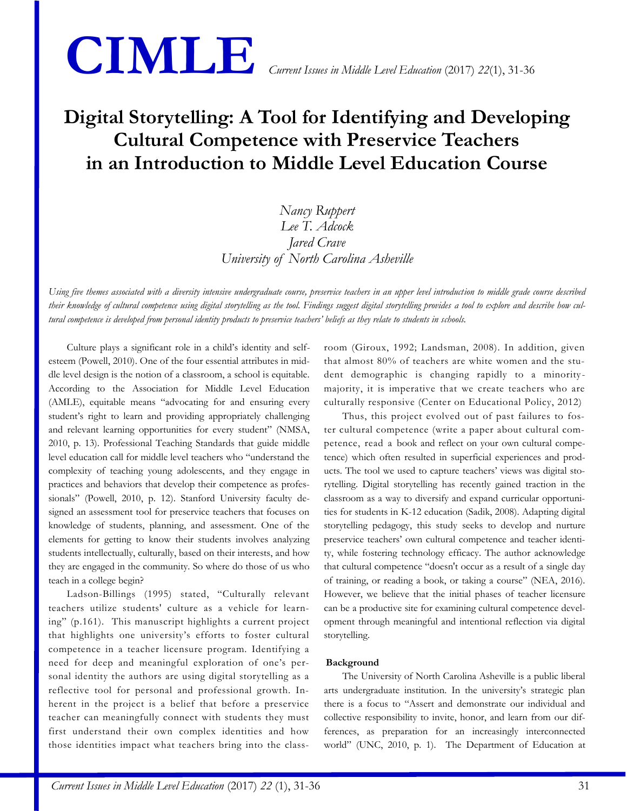

# **Digital Storytelling: A Tool for Identifying and Developing Cultural Competence with Preservice Teachers in an Introduction to Middle Level Education Course**

# *Nancy Ruppert Lee T. Adcock Jared Crave University of North Carolina Asheville*

*Using five themes associated with a diversity intensive undergraduate course, preservice teachers in an upper level introduction to middle grade course described their knowledge of cultural competence using digital storytelling as the tool. Findings suggest digital storytelling provides a tool to explore and describe how cultural competence is developed from personal identity products to preservice teachers' beliefs as they relate to students in schools.*

Culture plays a significant role in a child's identity and selfesteem (Powell, 2010). One of the four essential attributes in middle level design is the notion of a classroom, a school is equitable. According to the Association for Middle Level Education (AMLE), equitable means "advocating for and ensuring every student's right to learn and providing appropriately challenging and relevant learning opportunities for every student" (NMSA, 2010, p. 13). Professional Teaching Standards that guide middle level education call for middle level teachers who "understand the complexity of teaching young adolescents, and they engage in practices and behaviors that develop their competence as professionals" (Powell, 2010, p. 12). Stanford University faculty designed an assessment tool for preservice teachers that focuses on knowledge of students, planning, and assessment. One of the elements for getting to know their students involves analyzing students intellectually, culturally, based on their interests, and how they are engaged in the community. So where do those of us who teach in a college begin?

Ladson-Billings (1995) stated, "Culturally relevant teachers utilize students' culture as a vehicle for learning" (p.161). This manuscript highlights a current project that highlights one university's efforts to foster cultural competence in a teacher licensure program. Identifying a need for deep and meaningful exploration of one's personal identity the authors are using digital storytelling as a reflective tool for personal and professional growth. Inherent in the project is a belief that before a preservice teacher can meaningfully connect with students they must first understand their own complex identities and how those identities impact what teachers bring into the classroom (Giroux, 1992; Landsman, 2008). In addition, given that almost 80% of teachers are white women and the student demographic is changing rapidly to a minoritymajority, it is imperative that we create teachers who are culturally responsive (Center on Educational Policy, 2012)

Thus, this project evolved out of past failures to foster cultural competence (write a paper about cultural competence, read a book and reflect on your own cultural competence) which often resulted in superficial experiences and products. The tool we used to capture teachers' views was digital storytelling. Digital storytelling has recently gained traction in the classroom as a way to diversify and expand curricular opportunities for students in K-12 education (Sadik, 2008). Adapting digital storytelling pedagogy, this study seeks to develop and nurture preservice teachers' own cultural competence and teacher identity, while fostering technology efficacy. The author acknowledge that cultural competence "doesn't occur as a result of a single day of training, or reading a book, or taking a course" (NEA, 2016). However, we believe that the initial phases of teacher licensure can be a productive site for examining cultural competence development through meaningful and intentional reflection via digital storytelling.

# **Background**

The University of North Carolina Asheville is a public liberal arts undergraduate institution. In the university's strategic plan there is a focus to "Assert and demonstrate our individual and collective responsibility to invite, honor, and learn from our differences, as preparation for an increasingly interconnected world" (UNC, 2010, p. 1). The Department of Education at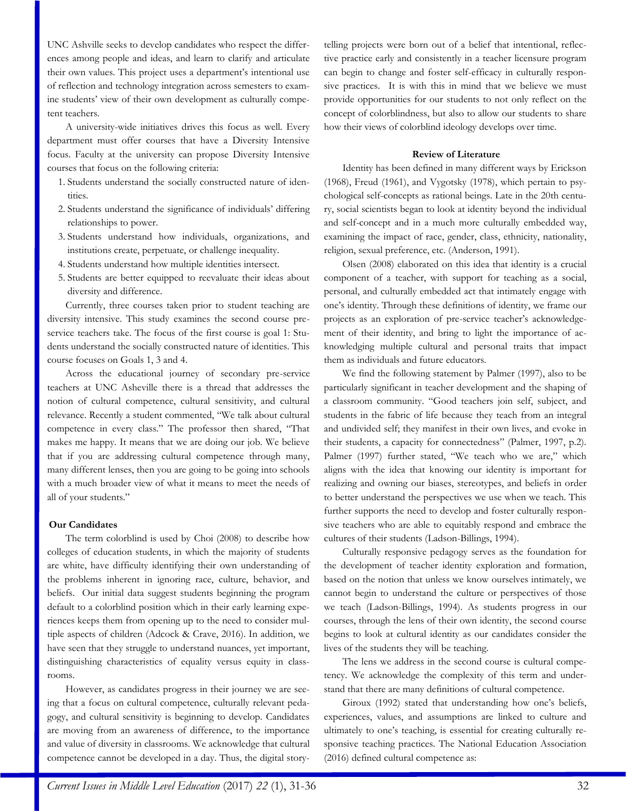UNC Ashville seeks to develop candidates who respect the differences among people and ideas, and learn to clarify and articulate their own values. This project uses a department's intentional use of reflection and technology integration across semesters to examine students' view of their own development as culturally competent teachers.

A university-wide initiatives drives this focus as well. Every department must offer courses that have a Diversity Intensive focus. Faculty at the university can propose Diversity Intensive courses that focus on the following criteria:

- 1. Students understand the socially constructed nature of identities.
- 2. Students understand the significance of individuals' differing relationships to power.
- 3. Students understand how individuals, organizations, and institutions create, perpetuate, or challenge inequality.
- 4. Students understand how multiple identities intersect.
- 5. Students are better equipped to reevaluate their ideas about diversity and difference.

Currently, three courses taken prior to student teaching are diversity intensive. This study examines the second course preservice teachers take. The focus of the first course is goal 1: Students understand the socially constructed nature of identities. This course focuses on Goals 1, 3 and 4.

Across the educational journey of secondary pre-service teachers at UNC Asheville there is a thread that addresses the notion of cultural competence, cultural sensitivity, and cultural relevance. Recently a student commented, "We talk about cultural competence in every class." The professor then shared, "That makes me happy. It means that we are doing our job. We believe that if you are addressing cultural competence through many, many different lenses, then you are going to be going into schools with a much broader view of what it means to meet the needs of all of your students."

# **Our Candidates**

The term colorblind is used by Choi (2008) to describe how colleges of education students, in which the majority of students are white, have difficulty identifying their own understanding of the problems inherent in ignoring race, culture, behavior, and beliefs. Our initial data suggest students beginning the program default to a colorblind position which in their early learning experiences keeps them from opening up to the need to consider multiple aspects of children (Adcock & Crave, 2016). In addition, we have seen that they struggle to understand nuances, yet important, distinguishing characteristics of equality versus equity in classrooms.

However, as candidates progress in their journey we are seeing that a focus on cultural competence, culturally relevant pedagogy, and cultural sensitivity is beginning to develop. Candidates are moving from an awareness of difference, to the importance and value of diversity in classrooms. We acknowledge that cultural competence cannot be developed in a day. Thus, the digital storytelling projects were born out of a belief that intentional, reflective practice early and consistently in a teacher licensure program can begin to change and foster self-efficacy in culturally responsive practices. It is with this in mind that we believe we must provide opportunities for our students to not only reflect on the concept of colorblindness, but also to allow our students to share how their views of colorblind ideology develops over time.

#### **Review of Literature**

Identity has been defined in many different ways by Erickson (1968), Freud (1961), and Vygotsky (1978), which pertain to psychological self-concepts as rational beings. Late in the 20th century, social scientists began to look at identity beyond the individual and self-concept and in a much more culturally embedded way, examining the impact of race, gender, class, ethnicity, nationality, religion, sexual preference, etc. (Anderson, 1991).

Olsen (2008) elaborated on this idea that identity is a crucial component of a teacher, with support for teaching as a social, personal, and culturally embedded act that intimately engage with one's identity. Through these definitions of identity, we frame our projects as an exploration of pre-service teacher's acknowledgement of their identity, and bring to light the importance of acknowledging multiple cultural and personal traits that impact them as individuals and future educators.

We find the following statement by Palmer (1997), also to be particularly significant in teacher development and the shaping of a classroom community. "Good teachers join self, subject, and students in the fabric of life because they teach from an integral and undivided self; they manifest in their own lives, and evoke in their students, a capacity for connectedness" (Palmer, 1997, p.2). Palmer (1997) further stated, "We teach who we are," which aligns with the idea that knowing our identity is important for realizing and owning our biases, stereotypes, and beliefs in order to better understand the perspectives we use when we teach. This further supports the need to develop and foster culturally responsive teachers who are able to equitably respond and embrace the cultures of their students (Ladson-Billings, 1994).

Culturally responsive pedagogy serves as the foundation for the development of teacher identity exploration and formation, based on the notion that unless we know ourselves intimately, we cannot begin to understand the culture or perspectives of those we teach (Ladson-Billings, 1994). As students progress in our courses, through the lens of their own identity, the second course begins to look at cultural identity as our candidates consider the lives of the students they will be teaching.

The lens we address in the second course is cultural competency. We acknowledge the complexity of this term and understand that there are many definitions of cultural competence.

Giroux (1992) stated that understanding how one's beliefs, experiences, values, and assumptions are linked to culture and ultimately to one's teaching, is essential for creating culturally responsive teaching practices. The National Education Association (2016) defined cultural competence as: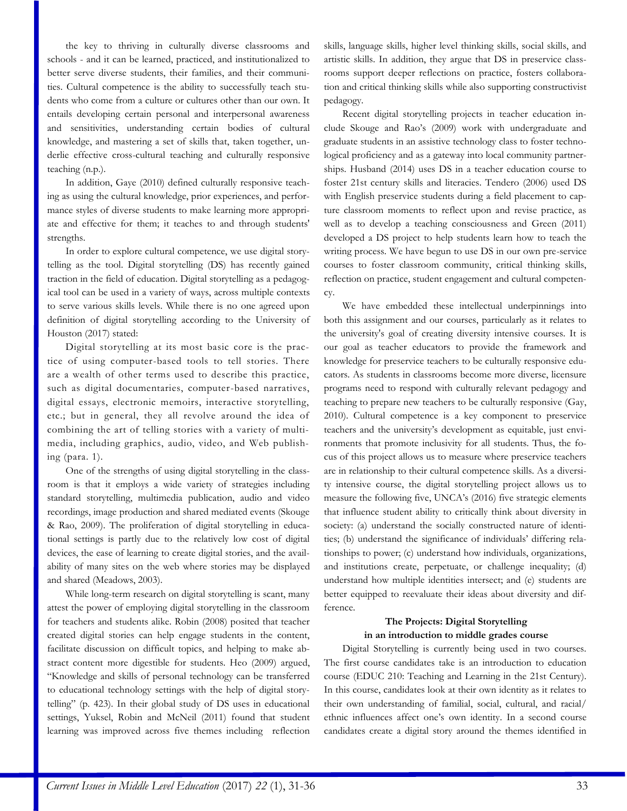the key to thriving in culturally diverse classrooms and schools - and it can be learned, practiced, and institutionalized to better serve diverse students, their families, and their communities. Cultural competence is the ability to successfully teach students who come from a culture or cultures other than our own. It entails developing certain personal and interpersonal awareness and sensitivities, understanding certain bodies of cultural knowledge, and mastering a set of skills that, taken together, underlie effective cross-cultural teaching and culturally responsive teaching (n.p.).

In addition, Gaye (2010) defined culturally responsive teaching as using the cultural knowledge, prior experiences, and performance styles of diverse students to make learning more appropriate and effective for them; it teaches to and through students' strengths.

In order to explore cultural competence, we use digital storytelling as the tool. Digital storytelling (DS) has recently gained traction in the field of education. Digital storytelling as a pedagogical tool can be used in a variety of ways, across multiple contexts to serve various skills levels. While there is no one agreed upon definition of digital storytelling according to the University of Houston (2017) stated:

Digital storytelling at its most basic core is the practice of using computer-based tools to tell stories. There are a wealth of other terms used to describe this practice, such as digital documentaries, computer-based narratives, digital essays, electronic memoirs, interactive storytelling, etc.; but in general, they all revolve around the idea of combining the art of telling stories with a variety of multimedia, including graphics, audio, video, and Web publishing (para. 1).

One of the strengths of using digital storytelling in the classroom is that it employs a wide variety of strategies including standard storytelling, multimedia publication, audio and video recordings, image production and shared mediated events (Skouge & Rao, 2009). The proliferation of digital storytelling in educational settings is partly due to the relatively low cost of digital devices, the ease of learning to create digital stories, and the availability of many sites on the web where stories may be displayed and shared (Meadows, 2003).

While long-term research on digital storytelling is scant, many attest the power of employing digital storytelling in the classroom for teachers and students alike. Robin (2008) posited that teacher created digital stories can help engage students in the content, facilitate discussion on difficult topics, and helping to make abstract content more digestible for students. Heo (2009) argued, "Knowledge and skills of personal technology can be transferred to educational technology settings with the help of digital storytelling" (p. 423). In their global study of DS uses in educational settings, Yuksel, Robin and McNeil (2011) found that student learning was improved across five themes including reflection skills, language skills, higher level thinking skills, social skills, and artistic skills. In addition, they argue that DS in preservice classrooms support deeper reflections on practice, fosters collaboration and critical thinking skills while also supporting constructivist pedagogy.

Recent digital storytelling projects in teacher education include Skouge and Rao's (2009) work with undergraduate and graduate students in an assistive technology class to foster technological proficiency and as a gateway into local community partnerships. Husband (2014) uses DS in a teacher education course to foster 21st century skills and literacies. Tendero (2006) used DS with English preservice students during a field placement to capture classroom moments to reflect upon and revise practice, as well as to develop a teaching consciousness and Green (2011) developed a DS project to help students learn how to teach the writing process. We have begun to use DS in our own pre-service courses to foster classroom community, critical thinking skills, reflection on practice, student engagement and cultural competency.

We have embedded these intellectual underpinnings into both this assignment and our courses, particularly as it relates to the university's goal of creating diversity intensive courses. It is our goal as teacher educators to provide the framework and knowledge for preservice teachers to be culturally responsive educators. As students in classrooms become more diverse, licensure programs need to respond with culturally relevant pedagogy and teaching to prepare new teachers to be culturally responsive (Gay, 2010). Cultural competence is a key component to preservice teachers and the university's development as equitable, just environments that promote inclusivity for all students. Thus, the focus of this project allows us to measure where preservice teachers are in relationship to their cultural competence skills. As a diversity intensive course, the digital storytelling project allows us to measure the following five, UNCA's (2016) five strategic elements that influence student ability to critically think about diversity in society: (a) understand the socially constructed nature of identities; (b) understand the significance of individuals' differing relationships to power; (c) understand how individuals, organizations, and institutions create, perpetuate, or challenge inequality; (d) understand how multiple identities intersect; and (e) students are better equipped to reevaluate their ideas about diversity and difference.

# **The Projects: Digital Storytelling in an introduction to middle grades course**

Digital Storytelling is currently being used in two courses. The first course candidates take is an introduction to education course (EDUC 210: Teaching and Learning in the 21st Century). In this course, candidates look at their own identity as it relates to their own understanding of familial, social, cultural, and racial/ ethnic influences affect one's own identity. In a second course candidates create a digital story around the themes identified in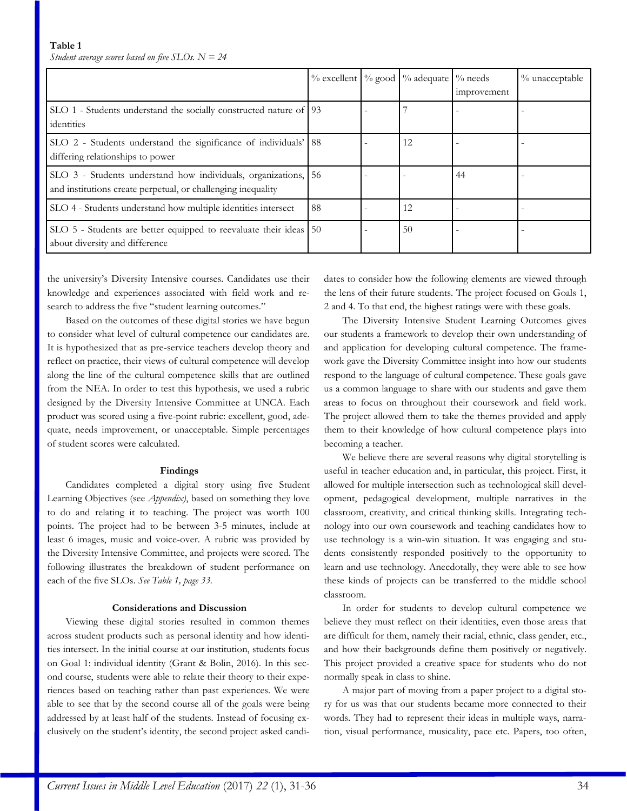|                                                                                                                             |    | % excellent   % good   % adequate   % needs | improvement | % unacceptable |
|-----------------------------------------------------------------------------------------------------------------------------|----|---------------------------------------------|-------------|----------------|
| SLO 1 - Students understand the socially constructed nature of 93<br>identities                                             |    |                                             |             |                |
| SLO 2 - Students understand the significance of individuals' 88<br>differing relationships to power                         |    | 12                                          |             |                |
| SLO 3 - Students understand how individuals, organizations,<br>and institutions create perpetual, or challenging inequality | 56 |                                             | 44          |                |
| SLO 4 - Students understand how multiple identities intersect                                                               | 88 | 12                                          |             |                |
| SLO 5 - Students are better equipped to reevaluate their ideas 50<br>about diversity and difference                         |    | 50                                          |             |                |

the university's Diversity Intensive courses. Candidates use their knowledge and experiences associated with field work and research to address the five "student learning outcomes."

Based on the outcomes of these digital stories we have begun to consider what level of cultural competence our candidates are. It is hypothesized that as pre-service teachers develop theory and reflect on practice, their views of cultural competence will develop along the line of the cultural competence skills that are outlined from the NEA. In order to test this hypothesis, we used a rubric designed by the Diversity Intensive Committee at UNCA. Each product was scored using a five-point rubric: excellent, good, adequate, needs improvement, or unacceptable. Simple percentages of student scores were calculated.

#### **Findings**

Candidates completed a digital story using five Student Learning Objectives (see *Appendix)*, based on something they love to do and relating it to teaching. The project was worth 100 points. The project had to be between 3-5 minutes, include at least 6 images, music and voice-over. A rubric was provided by the Diversity Intensive Committee, and projects were scored. The following illustrates the breakdown of student performance on each of the five SLOs. *See Table 1, page 33.*

# **Considerations and Discussion**

Viewing these digital stories resulted in common themes across student products such as personal identity and how identities intersect. In the initial course at our institution, students focus on Goal 1: individual identity (Grant & Bolin, 2016). In this second course, students were able to relate their theory to their experiences based on teaching rather than past experiences. We were able to see that by the second course all of the goals were being addressed by at least half of the students. Instead of focusing exclusively on the student's identity, the second project asked candidates to consider how the following elements are viewed through the lens of their future students. The project focused on Goals 1, 2 and 4. To that end, the highest ratings were with these goals.

The Diversity Intensive Student Learning Outcomes gives our students a framework to develop their own understanding of and application for developing cultural competence. The framework gave the Diversity Committee insight into how our students respond to the language of cultural competence. These goals gave us a common language to share with our students and gave them areas to focus on throughout their coursework and field work. The project allowed them to take the themes provided and apply them to their knowledge of how cultural competence plays into becoming a teacher.

We believe there are several reasons why digital storytelling is useful in teacher education and, in particular, this project. First, it allowed for multiple intersection such as technological skill development, pedagogical development, multiple narratives in the classroom, creativity, and critical thinking skills. Integrating technology into our own coursework and teaching candidates how to use technology is a win-win situation. It was engaging and students consistently responded positively to the opportunity to learn and use technology. Anecdotally, they were able to see how these kinds of projects can be transferred to the middle school classroom.

In order for students to develop cultural competence we believe they must reflect on their identities, even those areas that are difficult for them, namely their racial, ethnic, class gender, etc., and how their backgrounds define them positively or negatively. This project provided a creative space for students who do not normally speak in class to shine.

A major part of moving from a paper project to a digital story for us was that our students became more connected to their words. They had to represent their ideas in multiple ways, narration, visual performance, musicality, pace etc. Papers, too often,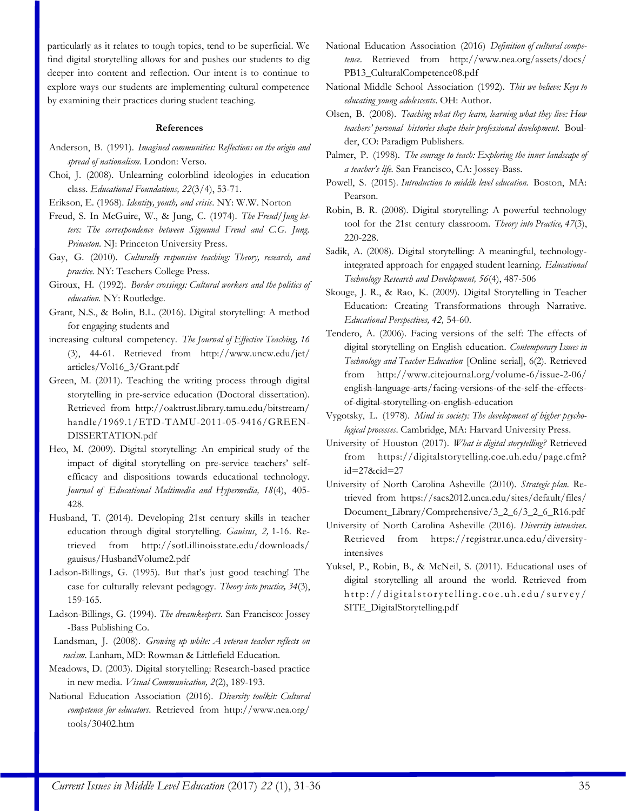particularly as it relates to tough topics, tend to be superficial. We find digital storytelling allows for and pushes our students to dig deeper into content and reflection. Our intent is to continue to explore ways our students are implementing cultural competence by examining their practices during student teaching.

#### **References**

- Anderson, B. (1991). *Imagined communities: Reflections on the origin and spread of nationalism.* London: Verso.
- Choi, J. (2008). Unlearning colorblind ideologies in education class. *Educational Foundations, 22*(3/4), 53-71.
- Erikson, E. (1968). *Identity, youth, and crisis*. NY: W.W. Norton
- Freud, S. In McGuire, W., & Jung, C. (1974). *The Freud/Jung letters: The correspondence between Sigmund Freud and C.G. Jung. Princeton*. NJ: Princeton University Press.
- Gay, G. (2010). *Culturally responsive teaching: Theory, research, and practice.* NY: Teachers College Press.
- Giroux, H. (1992). *Border crossings: Cultural workers and the politics of education.* NY: Routledge.
- Grant, N.S., & Bolin, B.L. (2016). Digital storytelling: A method for engaging students and
- increasing cultural competency. *The Journal of Effective Teaching, 16* (3), 44-61. Retrieved from http://www.uncw.edu/jet/ articles/Vol16\_3/Grant.pdf
- Green, M. (2011). Teaching the writing process through digital storytelling in pre-service education (Doctoral dissertation). Retrieved from http://oaktrust.library.tamu.edu/bitstream/ handle/1969.1/ETD-TAMU-2011-05-9416/GREEN-DISSERTATION.pdf
- Heo, M. (2009). Digital storytelling: An empirical study of the impact of digital storytelling on pre-service teachers' selfefficacy and dispositions towards educational technology. *Journal of Educational Multimedia and Hypermedia, 18*(4), 405- 428.
- Husband, T. (2014). Developing 21st century skills in teacher education through digital storytelling. *Gauisus*, *2,* 1-16. Retrieved from http://sotl.illinoisstate.edu/downloads/ gauisus/HusbandVolume2.pdf
- Ladson-Billings, G. (1995). But that's just good teaching! The case for culturally relevant pedagogy. *Theory into practice, 34*(3), 159-165.
- Ladson-Billings, G. (1994). *The dreamkeepers*. San Francisco: Jossey -Bass Publishing Co.
- Landsman, J. (2008). *Growing up white: A veteran teacher reflects on racism*. Lanham, MD: Rowman & Littlefield Education.
- Meadows, D. (2003). Digital storytelling: Research-based practice in new media. *Visual Communication, 2*(2), 189-193.
- National Education Association (2016). *Diversity toolkit: Cultural competence for educators*. Retrieved from http://www.nea.org/ tools/30402.htm
- National Education Association (2016) *Definition of cultural competence*. Retrieved from http://www.nea.org/assets/docs/ PB13\_CulturalCompetence08.pdf
- National Middle School Association (1992). *This we believe: Keys to educating young adolescents*. OH: Author.
- Olsen, B. (2008). *Teaching what they learn, learning what they live: How teachers' personal histories shape their professional development.* Boulder, CO: Paradigm Publishers.
- Palmer, P. (1998). *The courage to teach: Exploring the inner landscape of a teacher's life.* San Francisco, CA: Jossey-Bass.
- Powell, S. (2015). *Introduction to middle level education.* Boston, MA: Pearson.
- Robin, B. R. (2008). Digital storytelling: A powerful technology tool for the 21st century classroom. *Theory into Practice, 47*(3), 220-228.
- Sadik, A. (2008). Digital storytelling: A meaningful, technologyintegrated approach for engaged student learning. *Educational Technology Research and Development, 56*(4), 487-506
- Skouge, J. R., & Rao, K. (2009). Digital Storytelling in Teacher Education: Creating Transformations through Narrative. *Educational Perspectives, 42,* 54-60.
- Tendero, A. (2006). Facing versions of the self: The effects of digital storytelling on English education. *Contemporary Issues in Technology and Teacher Education* [Online serial], 6(2). Retrieved from http://www.citejournal.org/volume-6/issue-2-06/ english-language-arts/facing-versions-of-the-self-the-effectsof-digital-storytelling-on-english-education
- Vygotsky, L. (1978). *Mind in society: The development of higher psychological processes*. Cambridge, MA: Harvard University Press.
- University of Houston (2017). *What is digital storytelling?* Retrieved from https://digitalstorytelling.coe.uh.edu/page.cfm? id=27&cid=27
- University of North Carolina Asheville (2010). *Strategic plan.* Retrieved from https://sacs2012.unca.edu/sites/default/files/ Document\_Library/Comprehensive/3\_2\_6/3\_2\_6\_R16.pdf
- University of North Carolina Asheville (2016). *Diversity intensives*. Retrieved from https://registrar.unca.edu/diversityintensives
- Yuksel, P., Robin, B., & McNeil, S. (2011). Educational uses of digital storytelling all around the world. Retrieved from http://digitalstorytelling.coe.uh.edu/survey/ SITE\_DigitalStorytelling.pdf